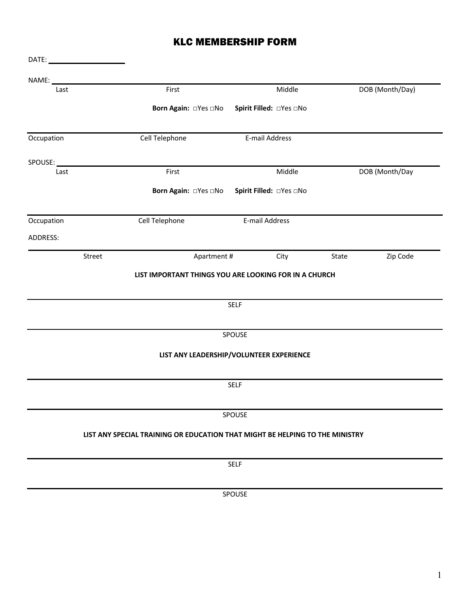# KLC MEMBERSHIP FORM

| Last       | First                                                                        | Middle                                   | DOB (Month/Day)   |  |
|------------|------------------------------------------------------------------------------|------------------------------------------|-------------------|--|
|            | Born Again: □Yes □No                                                         | Spirit Filled: □Yes □No                  |                   |  |
| Occupation | Cell Telephone                                                               | E-mail Address                           |                   |  |
| SPOUSE:    |                                                                              |                                          |                   |  |
| Last       | First                                                                        | Middle                                   | DOB (Month/Day    |  |
|            | Born Again: □ Yes □ No                                                       | Spirit Filled: □Yes □No                  |                   |  |
| Occupation | Cell Telephone                                                               | E-mail Address                           |                   |  |
| ADDRESS:   |                                                                              |                                          |                   |  |
| Street     | Apartment #                                                                  | City                                     | Zip Code<br>State |  |
|            |                                                                              | <b>SELF</b>                              |                   |  |
|            |                                                                              | SPOUSE                                   |                   |  |
|            |                                                                              | LIST ANY LEADERSHIP/VOLUNTEER EXPERIENCE |                   |  |
|            |                                                                              | SELF                                     |                   |  |
|            |                                                                              | SPOUSE                                   |                   |  |
|            | LIST ANY SPECIAL TRAINING OR EDUCATION THAT MIGHT BE HELPING TO THE MINISTRY |                                          |                   |  |
|            |                                                                              | <b>SELF</b>                              |                   |  |
|            |                                                                              | SPOUSE                                   |                   |  |